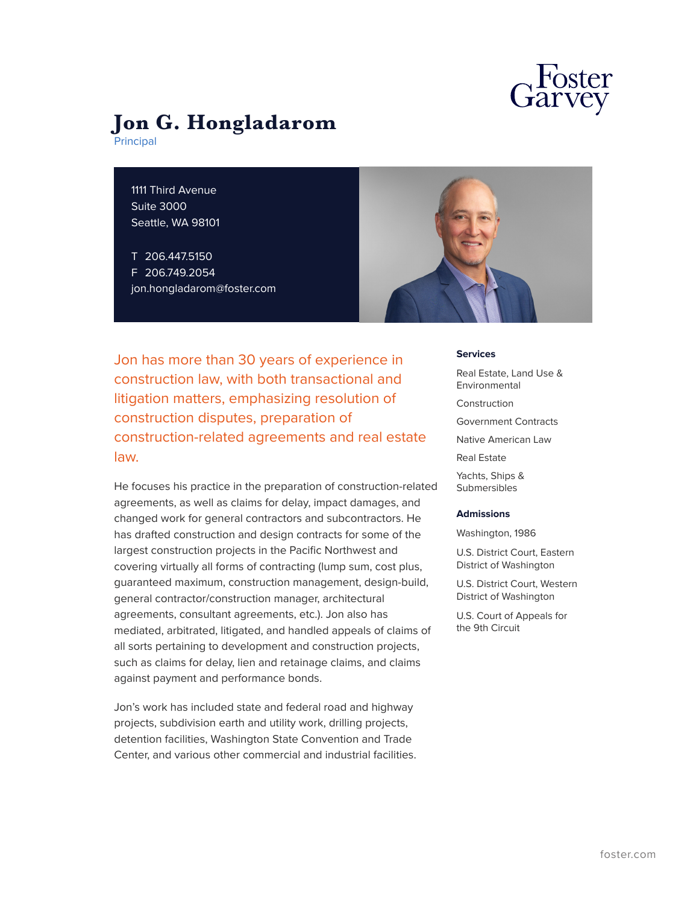

# **Jon G. Hongladarom**

Principal

1111 Third Avenue Suite 3000 Seattle, WA 98101

T 206.447.5150 F 206.749.2054 jon.hongladarom@foster.com



Jon has more than 30 years of experience in construction law, with both transactional and litigation matters, emphasizing resolution of construction disputes, preparation of construction-related agreements and real estate law.

He focuses his practice in the preparation of construction-related agreements, as well as claims for delay, impact damages, and changed work for general contractors and subcontractors. He has drafted construction and design contracts for some of the largest construction projects in the Pacific Northwest and covering virtually all forms of contracting (lump sum, cost plus, guaranteed maximum, construction management, design-build, general contractor/construction manager, architectural agreements, consultant agreements, etc.). Jon also has mediated, arbitrated, litigated, and handled appeals of claims of all sorts pertaining to development and construction projects, such as claims for delay, lien and retainage claims, and claims against payment and performance bonds.

Jon's work has included state and federal road and highway projects, subdivision earth and utility work, drilling projects, detention facilities, Washington State Convention and Trade Center, and various other commercial and industrial facilities. **Services**

Real Estate, Land Use & Environmental Construction Government Contracts Native American Law Real Estate Yachts, Ships & Submersibles

#### **Admissions**

Washington, 1986

U.S. District Court, Eastern District of Washington

U.S. District Court, Western District of Washington

U.S. Court of Appeals for the 9th Circuit